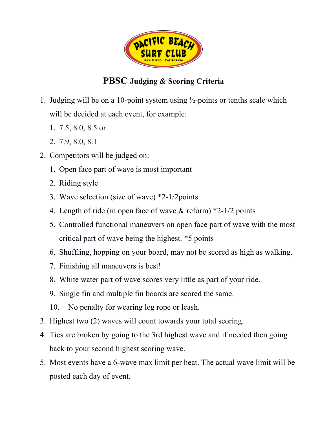

## **PBSC Judging & Scoring Criteria**

- 1. Judging will be on a 10-point system using  $\frac{1}{2}$ -points or tenths scale which will be decided at each event, for example:
	- 1. 7.5, 8.0, 8.5 or
	- 2. 7.9, 8.0, 8.1
- 2. Competitors will be judged on:
	- 1. Open face part of wave is most important
	- 2. Riding style
	- 3. Wave selection (size of wave) \*2-1/2points
	- 4. Length of ride (in open face of wave & reform) \*2-1/2 points
	- 5. Controlled functional maneuvers on open face part of wave with the most critical part of wave being the highest. \*5 points
	- 6. Shuffling, hopping on your board, may not be scored as high as walking.
	- 7. Finishing all maneuvers is best!
	- 8. White water part of wave scores very little as part of your ride.
	- 9. Single fin and multiple fin boards are scored the same.
	- 10. No penalty for wearing leg rope or leash.
- 3. Highest two (2) waves will count towards your total scoring.
- 4. Ties are broken by going to the 3rd highest wave and if needed then going back to your second highest scoring wave.
- 5. Most events have a 6-wave max limit per heat. The actual wave limit will be posted each day of event.